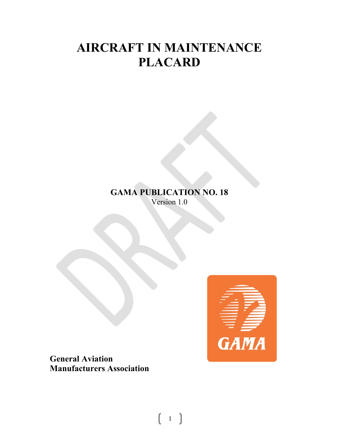# **AIRCRAFT IN MAINTENANCE PLACARD**

## **GAMA PUBLICATION NO. 18**  Version 1.0



**General Aviation Manufacturers Association** 

 $1 \quad$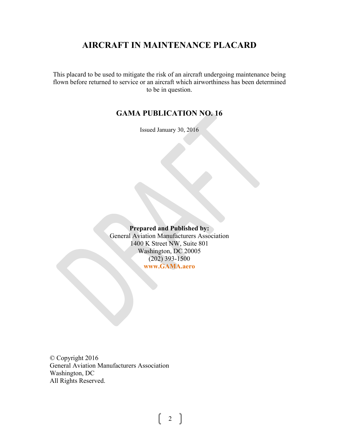## **AIRCRAFT IN MAINTENANCE PLACARD**

This placard to be used to mitigate the risk of an aircraft undergoing maintenance being flown before returned to service or an aircraft which airworthiness has been determined to be in question.

### **GAMA PUBLICATION NO. 16**

Issued January 30, 2016

#### **Prepared and Published by:**  General Aviation Manufacturers Association 1400 K Street NW, Suite 801 Washington, DC 20005 (202) 393-1500 **www.GAMA.aero**

© Copyright 2016 General Aviation Manufacturers Association Washington, DC All Rights Reserved.

2  $\vert$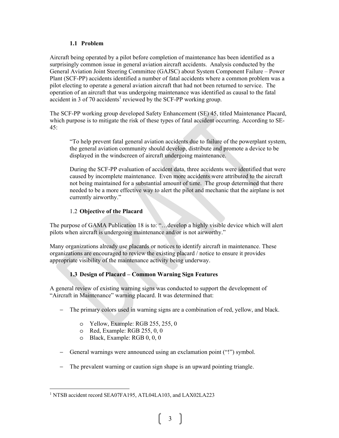#### **1.1 Problem**

Aircraft being operated by a pilot before completion of maintenance has been identified as a surprisingly common issue in general aviation aircraft accidents. Analysis conducted by the General Aviation Joint Steering Committee (GAJSC) about System Component Failure – Power Plant (SCF-PP) accidents identified a number of fatal accidents where a common problem was a pilot electing to operate a general aviation aircraft that had not been returned to service. The operation of an aircraft that was undergoing maintenance was identified as causal to the fatal accident in 3 of 70 accidents<sup>1</sup> reviewed by the SCF-PP working group.

The SCF-PP working group developed Safety Enhancement (SE) 45, titled Maintenance Placard, which purpose is to mitigate the risk of these types of fatal accident occurring. According to SE-45:

"To help prevent fatal general aviation accidents due to failure of the powerplant system, the general aviation community should develop, distribute and promote a device to be displayed in the windscreen of aircraft undergoing maintenance.

During the SCF-PP evaluation of accident data, three accidents were identified that were caused by incomplete maintenance. Even more accidents were attributed to the aircraft not being maintained for a substantial amount of time. The group determined that there needed to be a more effective way to alert the pilot and mechanic that the airplane is not currently airworthy."

#### 1.2 **Objective of the Placard**

The purpose of GAMA Publication 18 is to: "…develop a highly visible device which will alert pilots when aircraft is undergoing maintenance and/or is not airworthy."

Many organizations already use placards or notices to identify aircraft in maintenance. These organizations are encouraged to review the existing placard / notice to ensure it provides appropriate visibility of the maintenance activity being underway.

#### **1.3 Design of Placard – Common Warning Sign Features**

A general review of existing warning signs was conducted to support the development of "Aircraft in Maintenance" warning placard. It was determined that:

- − The primary colors used in warning signs are a combination of red, yellow, and black.
	- o Yellow, Example: RGB 255, 255, 0
	- o Red, Example: RGB 255, 0, 0
	- o Black, Example: RGB 0, 0, 0

 $\overline{a}$ 

- − General warnings were announced using an exclamation point ("!") symbol.
- − The prevalent warning or caution sign shape is an upward pointing triangle.

<sup>&</sup>lt;sup>1</sup> NTSB accident record SEA07FA195, ATL04LA103, and LAX02LA223